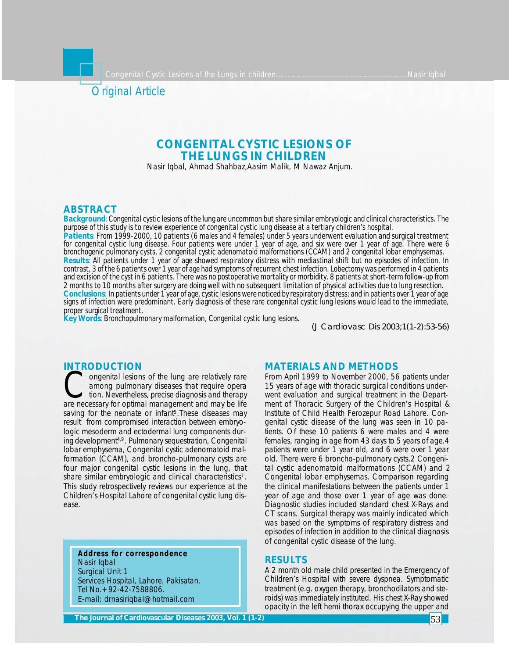# Original Article

## **CONGENITAL CYSTIC LESIONS OF THE LUNGS IN CHILDREN**

Nasir Iqbal, Ahmad Shahbaz,Aasim Malik, M Nawaz Anjum.

## **ABSTRACT**

*Background: Congenital cystic lesions of the lung are uncommon but share similar embryologic and clinical characteristics. The purpose of this study is to review experience of congenital cystic lung disease at a tertiary children's hospital.*

*Patients: From 1999-2000, 10 patients (6 males and 4 females) under 5 years underwent evaluation and surgical treatment for congenital cystic lung disease. Four patients were under 1 year of age, and six were over 1 year of age. There were 6 bronchogenic pulmonary cysts, 2 congenital cystic adenomatoid malformations (CCAM) and 2 congenital lobar emphysemas. Results: All patients under 1 year of age showed respiratory distress with mediastinal shift but no episodes of infection. In contrast, 3 of the 6 patients over 1 year of age had symptoms of recurrent chest infection. Lobectomy was performed in 4 patients and excision of the cyst in 6 patients. There was no postoperative mortality or morbidity. 8 patients at short-term follow-up from 2 months to 10 months after surgery are doing well with no subsequent limitation of physical activities due to lung resection. Conclusions: In patients under 1 year of age, cystic lesions were noticed by respiratory distress; and in patients over 1 year of age signs of infection were predominant. Early diagnosis of these rare congenital cystic lung lesions would lead to the immediate, proper surgical treatment.*

*Key Words: Bronchopulmonary malformation, Congenital cystic lung lesions.*

*(J Cardiovasc Dis 2003;1(1-2):53-56)*

## **INTRODUCTION**

**COLLOGETION**<br>
ongenital lesions of the lung are relatively rare<br>
among pulmonary diseases that require opera<br>
tion. Nevertheless, precise diagnosis and therapy<br>
are necessary for optimal management and may be life ongenital lesions of the lung are relatively rare among pulmonary diseases that require opera tion. Nevertheless, precise diagnosis and therapy saving for the neonate or infant<sup>5</sup>. These diseases may result from compromised interaction between embryologic mesoderm and ectodermal lung components during development4,9. Pulmonary sequestration, Congenital lobar emphysema, Congenital cystic adenomatoid malformation (CCAM), and broncho-pulmonary cysts are four major congenital cystic lesions in the lung, that share similar embryologic and clinical characteristics<sup>7</sup>. This study retrospectively reviews our experience at the Children's Hospital Lahore of congenital cystic lung disease.

**Address for correspondence** Nasir Iqbal Surgical Unit 1 Services Hospital, Lahore. Pakisatan. Tel No.+92-42-7588806. E-mail: drnasiriqbal@hotmail.com

#### **MATERIALS AND METHODS**

From April 1999 to November 2000, 56 patients under 15 years of age with thoracic surgical conditions underwent evaluation and surgical treatment in the Department of Thoracic Surgery of the Children's Hospital & Institute of Child Health Ferozepur Road Lahore. Congenital cystic disease of the lung was seen in 10 patients. Of these 10 patients 6 were males and 4 were females, ranging in age from 43 days to 5 years of age.4 patients were under 1 year old, and 6 were over 1 year old. There were 6 broncho-pulmonary cysts,2 Congenital cystic adenomatoid malformations (CCAM) and 2 Congenital lobar emphysemas. Comparison regarding the clinical manifestations between the patients under 1 year of age and those over 1 year of age was done. Diagnostic studies included standard chest X-Rays and CT scans. Surgical therapy was mainly indicated which was based on the symptoms of respiratory distress and episodes of infection in addition to the clinical diagnosis of congenital cystic disease of the lung.

## **RESULTS**

A 2 month old male child presented in the Emergency of Children's Hospital with severe dyspnea. Symptomatic treatment (e.g. oxygen therapy, bronchodilators and steroids) was immediately instituted. His chest X-Ray showed opacity in the left hemi thorax occupying the upper and

**The Journal of Cardiovascular Diseases 2003, Vol. 1 (1-2)**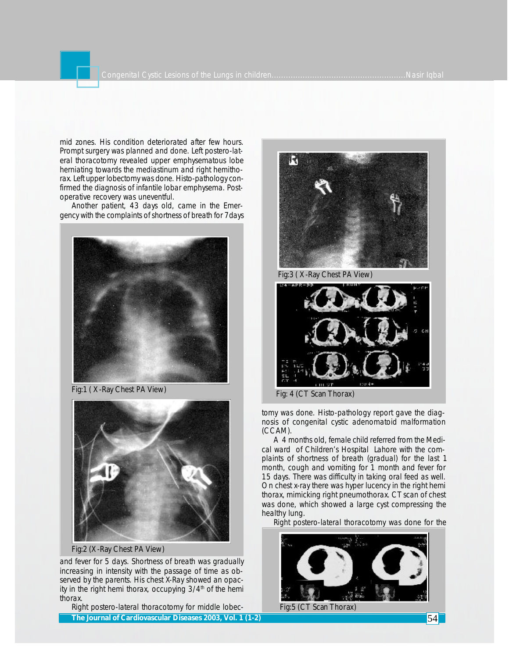mid zones. His condition deteriorated after few hours. Prompt surgery was planned and done. Left postero-lateral thoracotomy revealed upper emphysematous lobe herniating towards the mediastinum and right hemithorax. Left upper lobectomy was done. Histo-pathology confirmed the diagnosis of infantile lobar emphysema. Postoperative recovery was uneventful.

Another patient, 43 days old, came in the Emergency with the complaints of shortness of breath for 7days



Fig:1 ( X-Ray Chest PA View)



Fig:2 (X-Ray Chest PA View)

and fever for 5 days. Shortness of breath was gradually increasing in intensity with the passage of time as observed by the parents. His chest X-Ray showed an opacity in the right hemi thorax, occupying  $3/4<sup>th</sup>$  of the hemi thorax.

Right postero-lateral thoracotomy for middle lobec-The Journal of Cardiovascular Diseases 2003, Vol. 1 (1-2) **54 September 2008** 54 September 2014 54 September 2014



Fig:3 ( X-Ray Chest PA View)



Fig: 4 (CT Scan Thorax)

tomy was done. Histo-pathology report gave the diagnosis of congenital cystic adenomatoid malformation (CCAM).

A 4 months old, female child referred from the Medical ward of Children's Hospital Lahore with the complaints of shortness of breath (gradual) for the last 1 month, cough and vomiting for 1 month and fever for 15 days. There was difficulty in taking oral feed as well. On chest x-ray there was hyper lucency in the right hemi thorax, mimicking right pneumothorax. CT scan of chest was done, which showed a large cyst compressing the healthy lung.

Right postero-lateral thoracotomy was done for the



Fig:5 (CT Scan Thorax)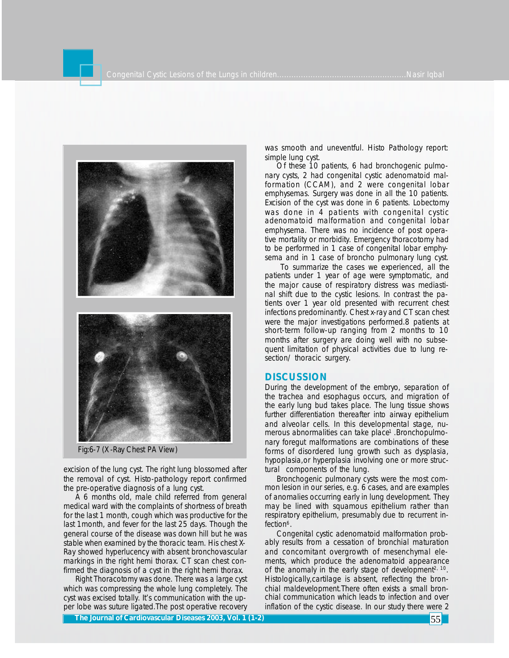

Fig:6-7 (X-Ray Chest PA View)

excision of the lung cyst. The right lung blossomed after the removal of cyst. Histo-pathology report confirmed the pre-operative diagnosis of a lung cyst.

A 6 months old, male child referred from general medical ward with the complaints of shortness of breath for the last 1 month, cough which was productive for the last 1month, and fever for the last 25 days. Though the general course of the disease was down hill but he was stable when examined by the thoracic team. His chest X-Ray showed hyperlucency with absent bronchovascular markings in the right hemi thorax. CT scan chest confirmed the diagnosis of a cyst in the right hemi thorax.

Right Thoracotomy was done. There was a large cyst which was compressing the whole lung completely. The cyst was excised totally. It's communication with the upper lobe was suture ligated.The post operative recovery

was smooth and uneventful. Histo Pathology report: simple lung cyst.

Of these 10 patients, 6 had bronchogenic pulmonary cysts, 2 had congenital cystic adenomatoid malformation (CCAM), and 2 were congenital lobar emphysemas. Surgery was done in all the 10 patients. Excision of the cyst was done in 6 patients. Lobectomy was done in 4 patients with congenital cystic adenomatoid malformation and congenital lobar emphysema. There was no incidence of post operative mortality or morbidity. Emergency thoracotomy had to be performed in 1 case of congenital lobar emphysema and in 1 case of broncho pulmonary lung cyst.

To summarize the cases we experienced, all the patients under 1 year of age were symptomatic, and the major cause of respiratory distress was mediastinal shift due to the cystic lesions. In contrast the patients over 1 year old presented with recurrent chest infections predominantly. Chest x-ray and CT scan chest were the major investigations performed.8 patients at short-term follow-up ranging from 2 months to 10 months after surgery are doing well with no subsequent limitation of physical activities due to lung resection/ thoracic surgery.

#### **DISCUSSION**

During the development of the embryo, separation of the trachea and esophagus occurs, and migration of the early lung bud takes place. The lung tissue shows further differentiation thereafter into airway epithelium and alveolar cells. In this developmental stage, numerous abnormalities can take place<sup>1</sup> .Bronchopulmonary foregut malformations are combinations of these forms of disordered lung growth such as dysplasia, hypoplasia,or hyperplasia involving one or more structural components of the lung.

Bronchogenic pulmonary cysts were the most common lesion in our series, e.g. 6 cases, and are examples of anomalies occurring early in lung development. They may be lined with squamous epithelium rather than respiratory epithelium, presumably due to recurrent infection<sup>6</sup>.

Congenital cystic adenomatoid malformation probably results from a cessation of bronchial maturation and concomitant overgrowth of mesenchymal elements, which produce the adenomatoid appearance of the anomaly in the early stage of development<sup>2, 10</sup>. Histologically,cartilage is absent, reflecting the bronchial maldevelopment.There often exists a small bronchial communication which leads to infection and over inflation of the cystic disease. In our study there were 2